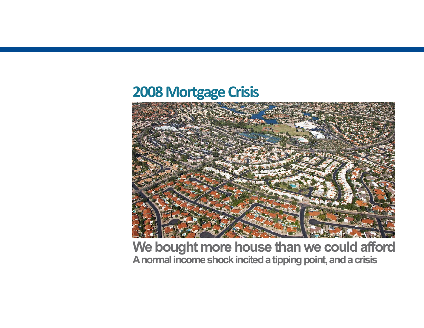## **2008 Mortgage Crisis**



**We bought more house than we could afford A normal income shock incited a tipping point, and a crisis**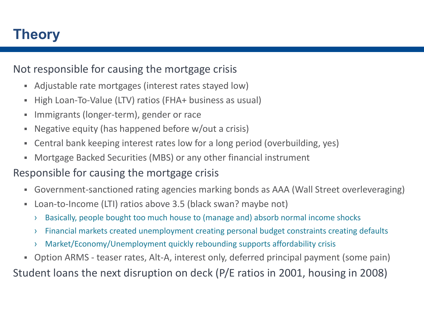## **Theory**

#### Not responsible for causing the mortgage crisis

- $\blacksquare$ Adjustable rate mortgages (interest rates stayed low)
- ٠ High Loan‐To‐Value (LTV) ratios (FHA+ business as usual)
- п Immigrants (longer‐term), gender or race
- ×, Negative equity (has happened before w/out a crisis)
- $\blacksquare$ Central bank keeping interest rates low for a long period (overbuilding, yes)
- ш Mortgage Backed Securities (MBS) or any other financial instrument

### Responsible for causing the mortgage crisis

- $\blacksquare$ Government‐sanctioned rating agencies marking bonds as AAA (Wall Street overleveraging)
- $\blacksquare$ Loan-to-Income (LTI) ratios above 3.5 (black swan? maybe not)
	- ›Basically, people bought too much house to (manage and) absorb normal income shocks
	- ›Financial markets created unemployment creating personal budget constraints creating defaults
	- ›Market/Economy/Unemployment quickly rebounding supports affordability crisis
- Ξ. Option ARMS ‐ teaser rates, Alt‐A, interest only, deferred principal payment (some pain)

Student loans the next disruption on deck (P/E ratios in 2001, housing in 2008)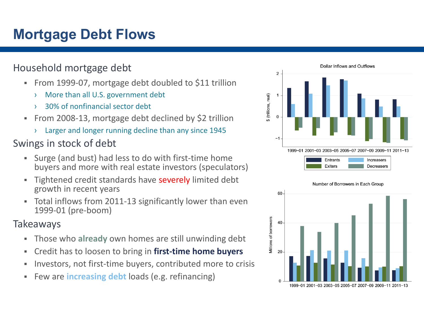# **Mortgage Debt Flows**

#### Household mortgage debt

- From 1999-07, mortgage debt doubled to \$11 trillion
	- ›More than all U.S. government debt
	- ›30% of nonfinancial sector debt
- $\blacksquare$  From 2008‐13, mortgage debt declined by \$2 trillion
	- ›Larger and longer running decline than any since 1945

### Swings in stock of debt

- $\blacksquare$  Surge (and bust) had less to do with first‐time home buyers and more with real estate investors (speculators)
- ×. Tightened credit standards have severely limited debt growth in recent years
- $\blacksquare$  Total inflows from 2011‐13 significantly lower than even 1999‐01 (pre‐boom)

#### Takeaways

- ٠ Those who **already** own homes are still unwinding debt
- $\blacksquare$ Credit has to loosen to bring in **first‐time home buyers**
- ш Investors, not first‐time buyers, contributed more to crisis
- ٠ Few are **increasing debt** loads (e.g. refinancing)



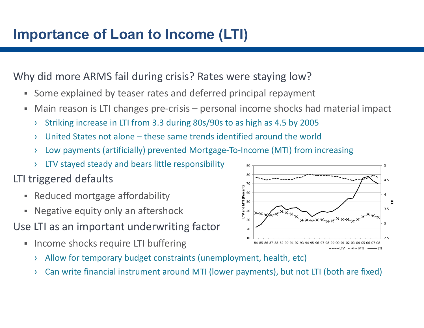#### Why did more ARMS fail during crisis? Rates were staying low?

- π, Some explained by teaser rates and deferred principal repayment
- ш Main reason is LTI changes pre‐crisis – personal income shocks had material impact
	- ›Striking increase in LTI from 3.3 during 80s/90s to as high as 4.5 by 2005
	- ›United States not alone – these same trends identified around the world
	- ›Low payments (artificially) prevented Mortgage‐To‐Income (MTI) from increasing
	- ›LTV stayed steady and bears little responsibility

## LTI triggered defaults

- ш Reduced mortgage affordability
- $\blacksquare$ Negative equity only an aftershock
- Use LTI as an important underwriting factor
	- $\blacksquare$  Income shocks require LTI buffering
		- ›Allow for temporary budget constraints (unemployment, health, etc)
		- ›Can write financial instrument around MTI (lower payments), but not LTI (both are fixed)

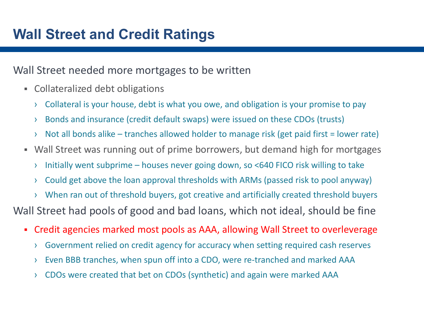#### Wall Street needed more mortgages to be written

- $\blacksquare$  Collateralized debt obligations
	- ›Collateral is your house, debt is what you owe, and obligation is your promise to pay
	- ›Bonds and insurance (credit default swaps) were issued on these CDOs (trusts)
	- ›Not all bonds alike – tranches allowed holder to manage risk (get paid first = lower rate)
- Wall Street was running out of prime borrowers, but demand high for mortgages
	- ›Initially went subprime – houses never going down, so <640 FICO risk willing to take
	- ›Could get above the loan approval thresholds with ARMs (passed risk to pool anyway)
	- ›When ran out of threshold buyers, got creative and artificially created threshold buyers

Wall Street had pools of good and bad loans, which not ideal, should be fine

- $\blacksquare$  Credit agencies marked most pools as AAA, allowing Wall Street to overleverage
	- ›Government relied on credit agency for accuracy when setting required cash reserves
	- ›Even BBB tranches, when spun off into a CDO, were re‐tranched and marked AAA
	- ›CDOs were created that bet on CDOs (synthetic) and again were marked AAA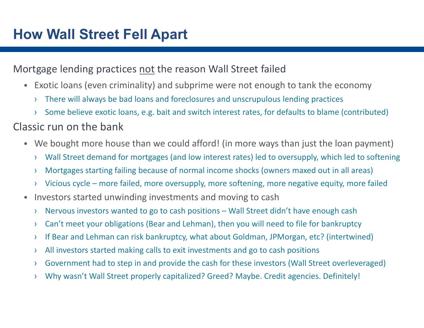#### Mortgage lending practices not the reason Wall Street failed

- Exotic loans (even criminality) and subprime were not enough to tank the economy
	- ›There will always be bad loans and foreclosures and unscrupulous lending practices
	- ›Some believe exotic loans, e.g. bait and switch interest rates, for defaults to blame (contributed)

#### Classic run on the bank

- We bought more house than we could afford! (in more ways than just the loan payment)
	- ›Wall Street demand for mortgages (and low interest rates) led to oversupply, which led to softening
	- ›Mortgages starting failing because of normal income shocks (owners maxed out in all areas)
	- ›Vicious cycle – more failed, more oversupply, more softening, more negative equity, more failed
- ٠ Investors started unwinding investments and moving to cash
	- ›Nervous investors wanted to go to cash positions – Wall Street didn't have enough cash
	- ›Can't meet your obligations (Bear and Lehman), then you will need to file for bankruptcy
	- ›If Bear and Lehman can risk bankruptcy, what about Goldman, JPMorgan, etc? (intertwined)
	- ›All investors started making calls to exit investments and go to cash positions
	- ›Government had to step in and provide the cash for these investors (Wall Street overleveraged)
	- ›Why wasn't Wall Street properly capitalized? Greed? Maybe. Credit agencies. Definitely!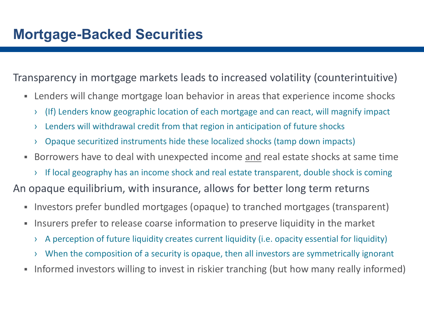Transparency in mortgage markets leads to increased volatility (counterintuitive)

- $\blacksquare$  Lenders will change mortgage loan behavior in areas that experience income shocks
	- ›(If) Lenders know geographic location of each mortgage and can react, will magnify impact
	- ›Lenders will withdrawal credit from that region in anticipation of future shocks
	- ›Opaque securitized instruments hide these localized shocks (tamp down impacts)
- $\blacksquare$  Borrowers have to deal with unexpected income and real estate shocks at same time
	- › If local geography has an income shock and real estate transparent, double shock is coming

An opaque equilibrium, with insurance, allows for better long term returns

- $\blacksquare$ Investors prefer bundled mortgages (opaque) to tranched mortgages (transparent)
- ш Insurers prefer to release coarse information to preserve liquidity in the market
	- ›A perception of future liquidity creates current liquidity (i.e. opacity essential for liquidity)
	- ›When the composition of a security is opaque, then all investors are symmetrically ignorant
- ш Informed investors willing to invest in riskier tranching (but how many really informed)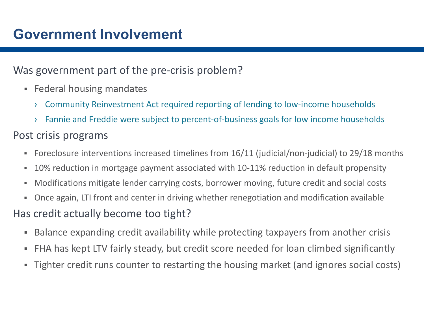### Was government part of the pre-crisis problem?

- **Federal housing mandates** 
	- ›Community Reinvestment Act required reporting of lending to low‐income households
	- ›Fannie and Freddie were subject to percent‐of‐business goals for low income households

### Post crisis programs

- $\blacksquare$ Foreclosure interventions increased timelines from 16/11 (judicial/non‐judicial) to 29/18 months
- $\blacksquare$ 10% reduction in mortgage payment associated with 10‐11% reduction in default propensity
- $\blacksquare$ Modifications mitigate lender carrying costs, borrower moving, future credit and social costs
- π. Once again, LTI front and center in driving whether renegotiation and modification available

### Has credit actually become too tight?

- ш Balance expanding credit availability while protecting taxpayers from another crisis
- ٠ FHA has kept LTV fairly steady, but credit score needed for loan climbed significantly
- $\blacksquare$ Tighter credit runs counter to restarting the housing market (and ignores social costs)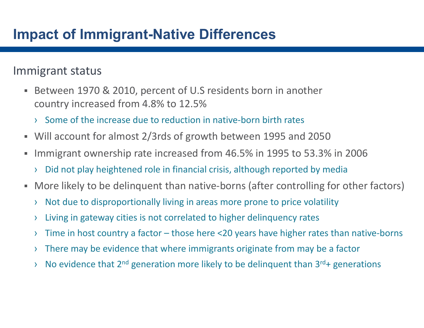## **Impact of Immigrant-Native Differences**

### Immigrant status

- $\blacksquare$  Between 1970 & 2010, percent of U.S residents born in another country increased from 4.8% to 12.5%
	- › Some of the increase due to reduction in native‐born birth rates
- Will account for almost 2/3rds of growth between 1995 and 2050
- $\blacksquare$  Immigrant ownership rate increased from 46.5% in 1995 to 53.3% in 2006
	- ›Did not play heightened role in financial crisis, although reported by media
- $\blacksquare$ More likely to be delinquent than native-borns (after controlling for other factors)
	- ›Not due to disproportionally living in areas more prone to price volatility
	- ›Living in gateway cities is not correlated to higher delinquency rates
	- ›Time in host country a factor – those here <20 years have higher rates than native‐borns
	- ›There may be evidence that where immigrants originate from may be a factor
	- ›No evidence that  $2^{nd}$  generation more likely to be delinquent than  $3^{rd}$ + generations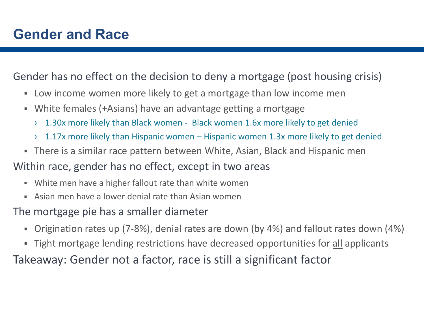Gender has no effect on the decision to deny a mortgage (post housing crisis)

- Low income women more likely to get a mortgage than low income men
- $\blacksquare$  White females (+Asians) have an advantage getting a mortgage
	- ›1.30x more likely than Black women ‐ Black women 1.6x more likely to get denied
	- ›1.17x more likely than Hispanic women – Hispanic women 1.3x more likely to get denied
- There is a similar race pattern between White, Asian, Black and Hispanic men
- Within race, gender has no effect, except in two areas
	- White men have a higher fallout rate than white women
	- π. Asian men have a lower denial rate than Asian women

The mortgage pie has a smaller diameter

- $\blacksquare$ Origination rates up (7‐8%), denial rates are down (by 4%) and fallout rates down (4%)
- **Tight mortgage lending restrictions have decreased opportunities for all applicants**

Takeaway: Gender not a factor, race is still a significant factor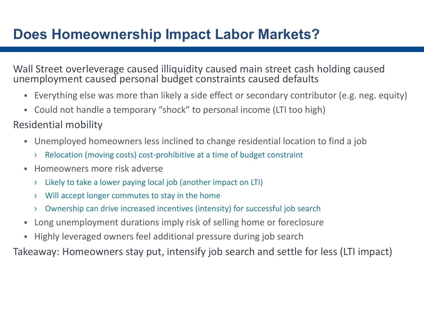# **Does Homeownership Impact Labor Markets?**

Wall Street overleverage caused illiquidity caused main street cash holding caused unemployment caused personal budget constraints caused defaults

- Everything else was more than likely a side effect or secondary contributor (e.g. neg. equity)
- $\blacksquare$ Could not handle a temporary "shock" to personal income (LTI too high)
- Residential mobility
	- Unemployed homeowners less inclined to change residential location to find a job
		- ›Relocation (moving costs) cost‐prohibitive at a time of budget constraint
	- $\blacksquare$  Homeowners more risk adverse
		- ›Likely to take a lower paying local job (another impact on LTI)
		- ›Will accept longer commutes to stay in the home
		- ›Ownership can drive increased incentives (intensity) for successful job search
	- ш Long unemployment durations imply risk of selling home or foreclosure
	- ٠ Highly leveraged owners feel additional pressure during job search

Takeaway: Homeowners stay put, intensify job search and settle for less (LTI impact)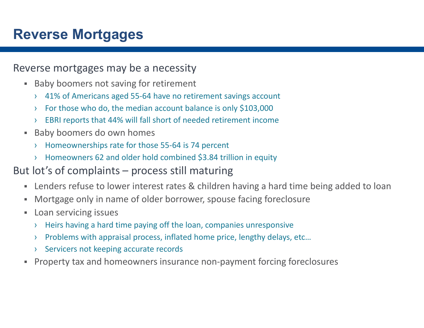## **Reverse Mortgages**

#### Reverse mortgages may be a necessity

- **Baby boomers not saving for retirement** 
	- › 41% of Americans aged 55‐64 have no retirement savings account
	- ›For those who do, the median account balance is only \$103,000
	- ›EBRI reports that 44% will fall short of needed retirement income
- $\blacksquare$  Baby boomers do own homes
	- ›Homeownerships rate for those 55‐64 is 74 percent
	- ›Homeowners 62 and older hold combined \$3.84 trillion in equity

#### But lot's of complaints – process still maturing

- $\blacksquare$ Lenders refuse to lower interest rates & children having a hard time being added to loan
- $\blacksquare$ Mortgage only in name of older borrower, spouse facing foreclosure
- $\blacksquare$  Loan servicing issues
	- ›Heirs having a hard time paying off the loan, companies unresponsive
	- ›Problems with appraisal process, inflated home price, lengthy delays, etc…
	- ›Servicers not keeping accurate records
- Ξ. Property tax and homeowners insurance non‐payment forcing foreclosures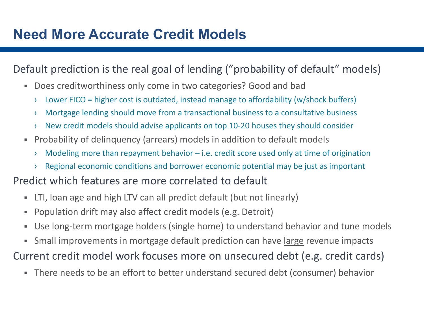### Default prediction is the real goal of lending ("probability of default" models)

- $\blacksquare$  Does creditworthiness only come in two categories? Good and bad
	- ›Lower FICO = higher cost is outdated, instead manage to affordability (w/shock buffers)
	- ›Mortgage lending should move from a transactional business to a consultative business
	- ›New credit models should advise applicants on top 10‐20 houses they should consider
- Ξ. Probability of delinquency (arrears) models in addition to default models
	- ›Modeling more than repayment behavior – i.e. credit score used only at time of origination
	- ›Regional economic conditions and borrower economic potential may be just as important

#### Predict which features are more correlated to default

- $\blacksquare$ LTI, loan age and high LTV can all predict default (but not linearly)
- ٠ Population drift may also affect credit models (e.g. Detroit)
- $\blacksquare$ Use long‐term mortgage holders (single home) to understand behavior and tune models
- $\blacksquare$ Small improvements in mortgage default prediction can have large revenue impacts
- Current credit model work focuses more on unsecured debt (e.g. credit cards)
	- $\blacksquare$ There needs to be an effort to better understand secured debt (consumer) behavior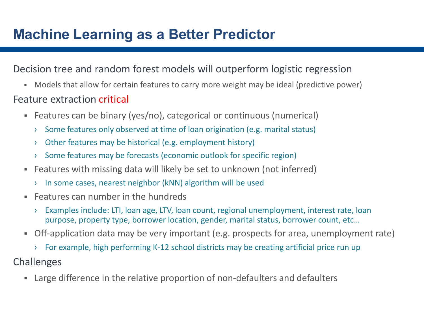## **Machine Learning as a Better Predictor**

#### Decision tree and random forest models will outperform logistic regression

Models that allow for certain features to carry more weight may be ideal (predictive power)

#### Feature extraction critical

- Features can be binary (yes/no), categorical or continuous (numerical)
	- ›Some features only observed at time of loan origination (e.g. marital status)
	- ›Other features may be historical (e.g. employment history)
	- ›Some features may be forecasts (economic outlook for specific region)
- $\blacksquare$  Features with missing data will likely be set to unknown (not inferred)
	- ›In some cases, nearest neighbor (kNN) algorithm will be used
- $\blacksquare$  Features can number in the hundreds
	- › Examples include: LTI, loan age, LTV, loan count, regional unemployment, interest rate, loan purpose, property type, borrower location, gender, marital status, borrower count, etc…
- Off-application data may be very important (e.g. prospects for area, unemployment rate)
	- › For example, high performing K‐12 school districts may be creating artificial price run up
- Challenges
	- Ξ. Large difference in the relative proportion of non‐defaulters and defaulters